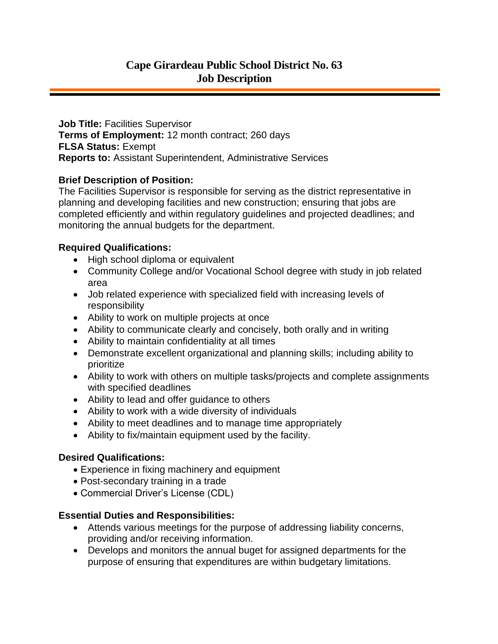**Job Title: Facilities Supervisor Terms of Employment:** 12 month contract; 260 days **FLSA Status:** Exempt **Reports to:** Assistant Superintendent, Administrative Services

## **Brief Description of Position:**

The Facilities Supervisor is responsible for serving as the district representative in planning and developing facilities and new construction; ensuring that jobs are completed efficiently and within regulatory guidelines and projected deadlines; and monitoring the annual budgets for the department.

## **Required Qualifications:**

- High school diploma or equivalent
- Community College and/or Vocational School degree with study in job related area
- Job related experience with specialized field with increasing levels of responsibility
- Ability to work on multiple projects at once
- Ability to communicate clearly and concisely, both orally and in writing
- Ability to maintain confidentiality at all times
- Demonstrate excellent organizational and planning skills; including ability to prioritize
- Ability to work with others on multiple tasks/projects and complete assignments with specified deadlines
- Ability to lead and offer guidance to others
- Ability to work with a wide diversity of individuals
- Ability to meet deadlines and to manage time appropriately
- Ability to fix/maintain equipment used by the facility.

#### **Desired Qualifications:**

- Experience in fixing machinery and equipment
- Post-secondary training in a trade
- Commercial Driver's License (CDL)

# **Essential Duties and Responsibilities:**

- Attends various meetings for the purpose of addressing liability concerns, providing and/or receiving information.
- Develops and monitors the annual buget for assigned departments for the purpose of ensuring that expenditures are within budgetary limitations.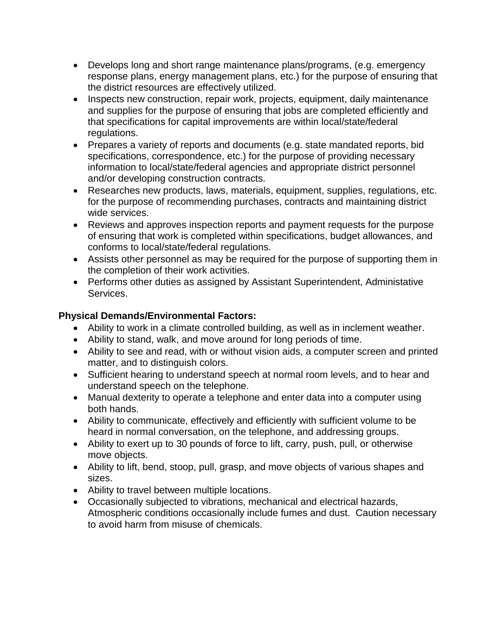- Develops long and short range maintenance plans/programs, (e.g. emergency response plans, energy management plans, etc.) for the purpose of ensuring that the district resources are effectively utilized.
- Inspects new construction, repair work, projects, equipment, daily maintenance and supplies for the purpose of ensuring that jobs are completed efficiently and that specifications for capital improvements are within local/state/federal regulations.
- Prepares a variety of reports and documents (e.g. state mandated reports, bid specifications, correspondence, etc.) for the purpose of providing necessary information to local/state/federal agencies and appropriate district personnel and/or developing construction contracts.
- Researches new products, laws, materials, equipment, supplies, regulations, etc. for the purpose of recommending purchases, contracts and maintaining district wide services.
- Reviews and approves inspection reports and payment requests for the purpose of ensuring that work is completed within specifications, budget allowances, and conforms to local/state/federal regulations.
- Assists other personnel as may be required for the purpose of supporting them in the completion of their work activities.
- Performs other duties as assigned by Assistant Superintendent, Administative Services.

# **Physical Demands/Environmental Factors:**

- Ability to work in a climate controlled building, as well as in inclement weather.
- Ability to stand, walk, and move around for long periods of time.
- Ability to see and read, with or without vision aids, a computer screen and printed matter, and to distinguish colors.
- Sufficient hearing to understand speech at normal room levels, and to hear and understand speech on the telephone.
- Manual dexterity to operate a telephone and enter data into a computer using both hands.
- Ability to communicate, effectively and efficiently with sufficient volume to be heard in normal conversation, on the telephone, and addressing groups.
- Ability to exert up to 30 pounds of force to lift, carry, push, pull, or otherwise move objects.
- Ability to lift, bend, stoop, pull, grasp, and move objects of various shapes and sizes.
- Ability to travel between multiple locations.
- Occasionally subjected to vibrations, mechanical and electrical hazards, Atmospheric conditions occasionally include fumes and dust. Caution necessary to avoid harm from misuse of chemicals.